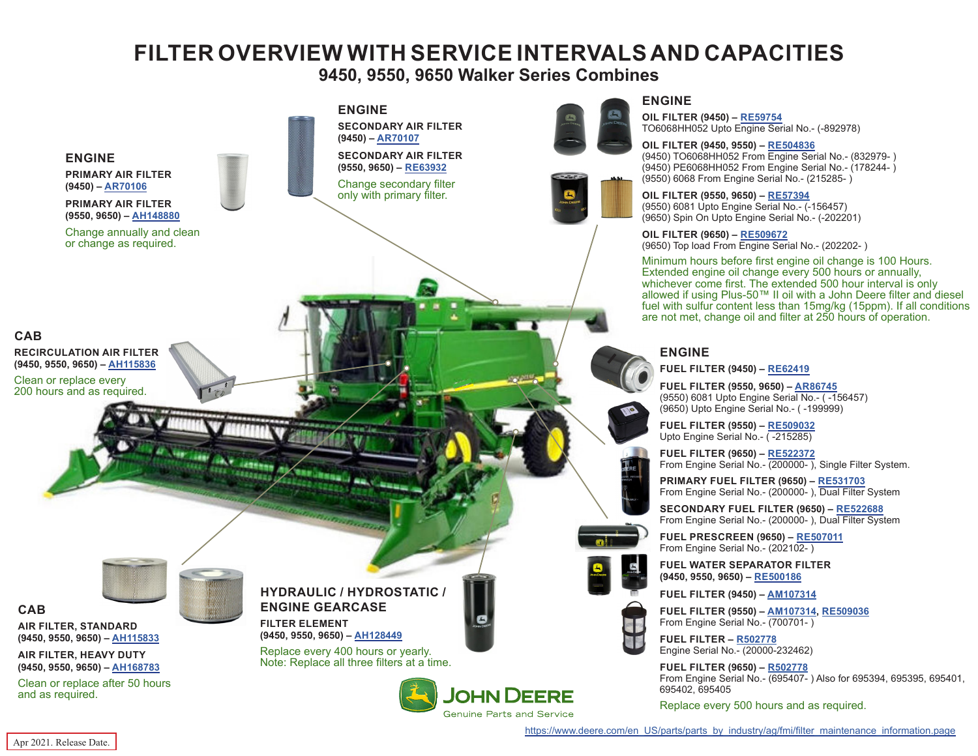# **FILTER OVERVIEW WITH SERVICE INTERVALS AND CAPACITIES**

**9450, 9550, 9650 Walker Series Combines**

<span id="page-0-0"></span>

#### **ENGINE**

**OIL FILTER (9450) – [RE59754](https://jdparts.deere.com/servlet/com.deere.u90.jdparts.view.servlets.partinfocontroller.PartDetails?screenName=JDSearch&&partSearchNumber=RE59754)** TO6068HH052 Upto Engine Serial No.- (-892978)

#### **OIL FILTER (9450, 9550) – [RE504836](https://jdparts.deere.com/servlet/com.deere.u90.jdparts.view.servlets.partinfocontroller.PartDetails?screenName=JDSearch&&partSearchNumber=RE504836)**

(9450) TO6068HH052 From Engine Serial No.- (832979- ) (9450) PE6068HH052 From Engine Serial No.- (178244- ) (9550) 6068 From Engine Serial No.- (215285- )

### **OIL FILTER (9550, 9650) – [RE57394](https://jdparts.deere.com/servlet/com.deere.u90.jdparts.view.servlets.partinfocontroller.PartDetails?screenName=JDSearch&&partSearchNumber=RE57394)**

(9550) 6081 Upto Engine Serial No.- (-156457) (9650) Spin On Upto Engine Serial No.- (-202201)

#### **OIL FILTER (9650) – [RE509672](https://jdparts.deere.com/servlet/com.deere.u90.jdparts.view.servlets.partinfocontroller.PartDetails?screenName=JDSearch&&partSearchNumber=RE509672)**

(9650) Top load From Engine Serial No.- (202202- )

Minimum hours before first engine oil change is 100 Hours. Extended engine oil change every 500 hours or annually, whichever come first. The extended 500 hour interval is only allowed if using Plus-50™ II oil with a John Deere filter and diesel fuel with sulfur content less than 15mg/kg (15ppm). If all conditions are not met, change oil and filter at 250 hours of operation.

#### **ENGINE**

**FUEL FILTER (9450) – [RE62419](https://jdparts.deere.com/servlet/com.deere.u90.jdparts.view.servlets.partinfocontroller.PartDetails?screenName=JDSearch&&partSearchNumber=RE62419)**

**FUEL FILTER (9550, 9650) – [AR86745](https://jdparts.deere.com/servlet/com.deere.u90.jdparts.view.servlets.partinfocontroller.PartDetails?screenName=JDSearch&&partSearchNumber=AR86745)** (9550) 6081 Upto Engine Serial No.- ( -156457) (9650) Upto Engine Serial No.- ( -199999)

**FUEL FILTER (9550) – [RE509032](https://jdparts.deere.com/servlet/com.deere.u90.jdparts.view.servlets.partinfocontroller.PartDetails?screenName=JDSearch&&partSearchNumber=RE509032)** Upto Engine Serial No. - (-215285)

**FUEL FILTER (9650) – [RE522372](https://jdparts.deere.com/servlet/com.deere.u90.jdparts.view.servlets.partinfocontroller.PartDetails?screenName=JDSearch&&partSearchNumber=RE522372)** From Engine Serial No.- (200000- ), Single Filter System.

**PRIMARY FUEL FILTER (9650) – [RE531703](https://jdparts.deere.com/servlet/com.deere.u90.jdparts.view.servlets.partinfocontroller.PartDetails?screenName=JDSearch&&partSearchNumber=RE531703)** From Engine Serial No.- (200000- ), Dual Filter System

**SECONDARY FUEL FILTER (9650) – [RE522688](https://jdparts.deere.com/servlet/com.deere.u90.jdparts.view.servlets.partinfocontroller.PartDetails?screenName=JDSearch&&partSearchNumber=RE522688)** From Engine Serial No.- (200000-), Dual Filter System

**FUEL PRESCREEN (9650) – [RE507011](https://jdparts.deere.com/servlet/com.deere.u90.jdparts.view.servlets.partinfocontroller.PartDetails?screenName=JDSearch&&partSearchNumber=RE507011)** From Engine Serial No.- (202102-)

**FUEL WATER SEPARATOR FILTER (9450, 9550, 9650) – [RE500186](https://jdparts.deere.com/servlet/com.deere.u90.jdparts.view.servlets.partinfocontroller.PartDetails?screenName=JDSearch&&partSearchNumber=RE500186)**

**FUEL FILTER (9450) – [AM107314](https://jdparts.deere.com/servlet/com.deere.u90.jdparts.view.servlets.partinfocontroller.PartDetails?screenName=JDSearch&&partSearchNumber=AM107314)**

**FUEL FILTER (9550) – [AM107314](https://jdparts.deere.com/servlet/com.deere.u90.jdparts.view.servlets.partinfocontroller.PartDetails?screenName=JDSearch&&partSearchNumber=AM107314), [RE509036](https://jdparts.deere.com/servlet/com.deere.u90.jdparts.view.servlets.partinfocontroller.PartDetails?screenName=JDSearch&&partSearchNumber=RE509036)** From Engine Serial No.- (700701- )

**FUEL FILTER – [R502778](https://jdparts.deere.com/servlet/com.deere.u90.jdparts.view.servlets.partinfocontroller.PartDetails?screenName=JDSearch&&partSearchNumber=R502778)** Engine Serial No.- (20000-232462)

**FUEL FILTER (9650) – [R502778](https://jdparts.deere.com/servlet/com.deere.u90.jdparts.view.servlets.partinfocontroller.PartDetails?screenName=JDSearch&&partSearchNumber=R502778)** From Engine Serial No.- (695407- ) Also for 695394, 695395, 695401, 695402, 695405

Replace every 500 hours and as required.